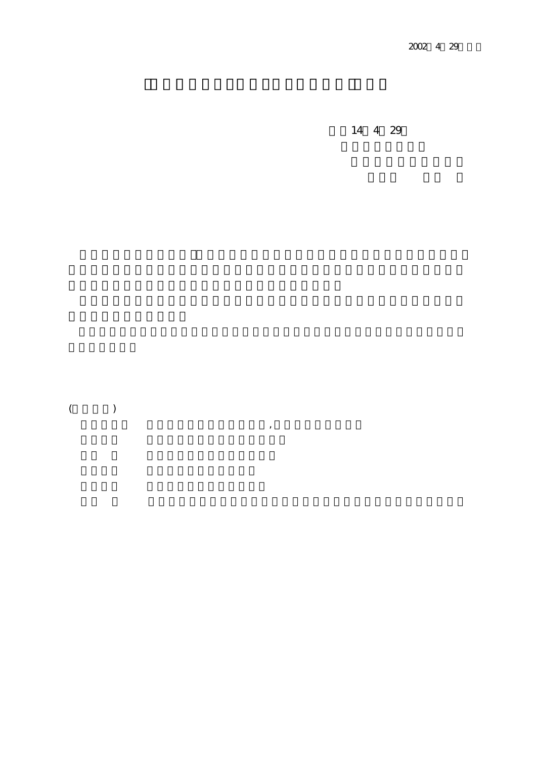14 4 29

 $\overline{\phantom{a}}$ 

 $($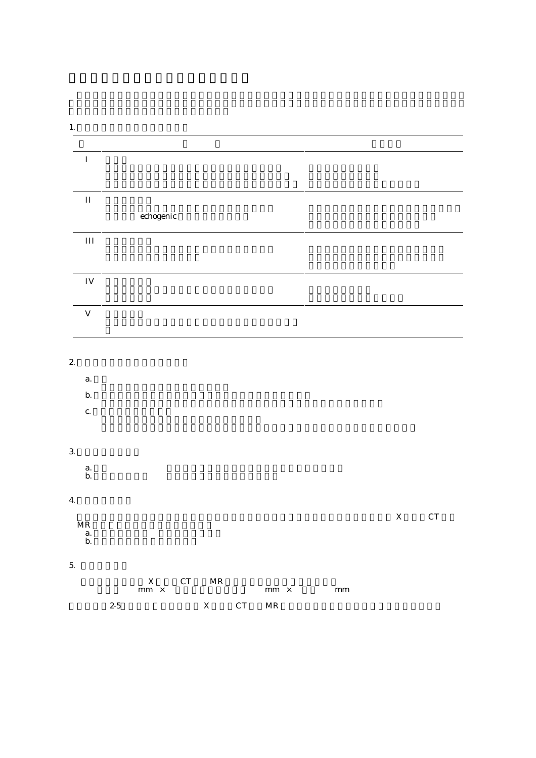|              | $\rm II$                          |       |                            |                    |                                   |    |                     |               |             |                    |
|--------------|-----------------------------------|-------|----------------------------|--------------------|-----------------------------------|----|---------------------|---------------|-------------|--------------------|
|              |                                   |       | $\operatorname{echogenic}$ |                    |                                   |    |                     |               |             |                    |
|              |                                   |       |                            |                    |                                   |    |                     |               |             |                    |
|              | $III$                             |       |                            |                    |                                   |    |                     |               |             |                    |
|              |                                   |       |                            |                    |                                   |    |                     |               |             |                    |
|              | ${\rm IV}$                        |       |                            |                    |                                   |    |                     |               |             |                    |
|              |                                   |       |                            |                    |                                   |    |                     |               |             |                    |
|              | $\mathbf V$                       |       |                            |                    |                                   |    |                     |               |             |                    |
|              |                                   |       |                            |                    |                                   |    |                     |               |             |                    |
|              |                                   |       |                            |                    |                                   |    |                     |               |             |                    |
| $\mathbf{z}$ |                                   |       |                            |                    |                                   |    |                     |               |             |                    |
|              |                                   |       |                            |                    |                                   |    |                     |               |             |                    |
|              | a.                                |       |                            |                    |                                   |    |                     |               |             |                    |
|              | $\mathbf b.$                      |       |                            |                    |                                   |    |                     |               |             |                    |
|              | c.                                |       |                            |                    |                                   |    |                     |               |             |                    |
|              |                                   |       |                            |                    |                                   |    |                     |               |             |                    |
| $\mathbf{3}$ |                                   |       |                            |                    |                                   |    |                     |               |             |                    |
|              |                                   |       |                            |                    |                                   |    |                     |               |             |                    |
|              | $a.$<br>b.                        |       |                            |                    |                                   |    |                     |               |             |                    |
| $\bf{4}$     |                                   |       |                            |                    |                                   |    |                     |               |             |                    |
|              |                                   |       |                            |                    |                                   |    |                     |               | $\mathbf X$ | ${\cal C}{\cal T}$ |
|              | $\ensuremath{\mathbf{MR}}\xspace$ |       |                            |                    |                                   |    |                     |               |             |                    |
|              | $a.$<br>$b.$                      |       |                            |                    |                                   |    |                     |               |             |                    |
| $\mathbf 5$  |                                   |       |                            |                    |                                   |    |                     |               |             |                    |
|              |                                   |       |                            | ${\cal C}{\cal T}$ |                                   |    |                     |               |             |                    |
|              |                                   |       | $\frac{X}{mm}$ ×           |                    | $\ensuremath{\mathbf{MR}}\xspace$ |    | mm $\,$ $\times$    | $\mathbf{mm}$ |             |                    |
|              |                                   | $2-5$ |                            |                    | $\mathbf X$                       | CT | $\operatorname{MR}$ |               |             |                    |